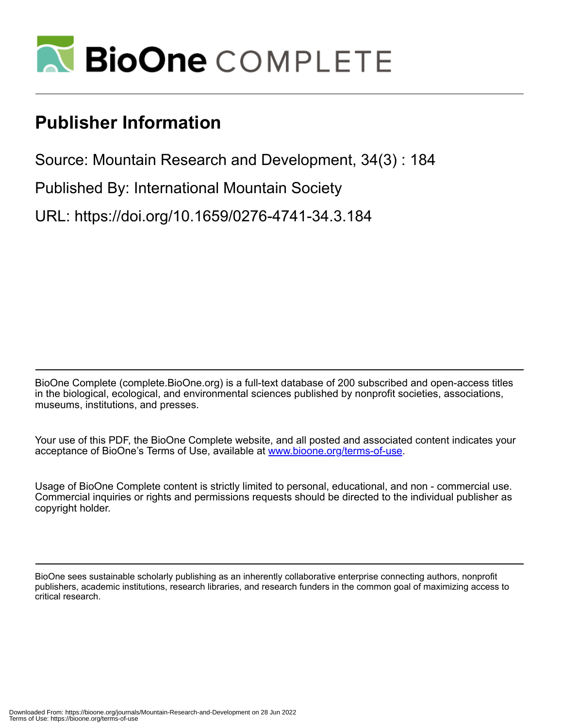

# **Publisher Information**

Source: Mountain Research and Development, 34(3) : 184

Published By: International Mountain Society

URL: https://doi.org/10.1659/0276-4741-34.3.184

BioOne Complete (complete.BioOne.org) is a full-text database of 200 subscribed and open-access titles in the biological, ecological, and environmental sciences published by nonprofit societies, associations, museums, institutions, and presses.

Your use of this PDF, the BioOne Complete website, and all posted and associated content indicates your acceptance of BioOne's Terms of Use, available at www.bioone.org/terms-of-use.

Usage of BioOne Complete content is strictly limited to personal, educational, and non - commercial use. Commercial inquiries or rights and permissions requests should be directed to the individual publisher as copyright holder.

BioOne sees sustainable scholarly publishing as an inherently collaborative enterprise connecting authors, nonprofit publishers, academic institutions, research libraries, and research funders in the common goal of maximizing access to critical research.